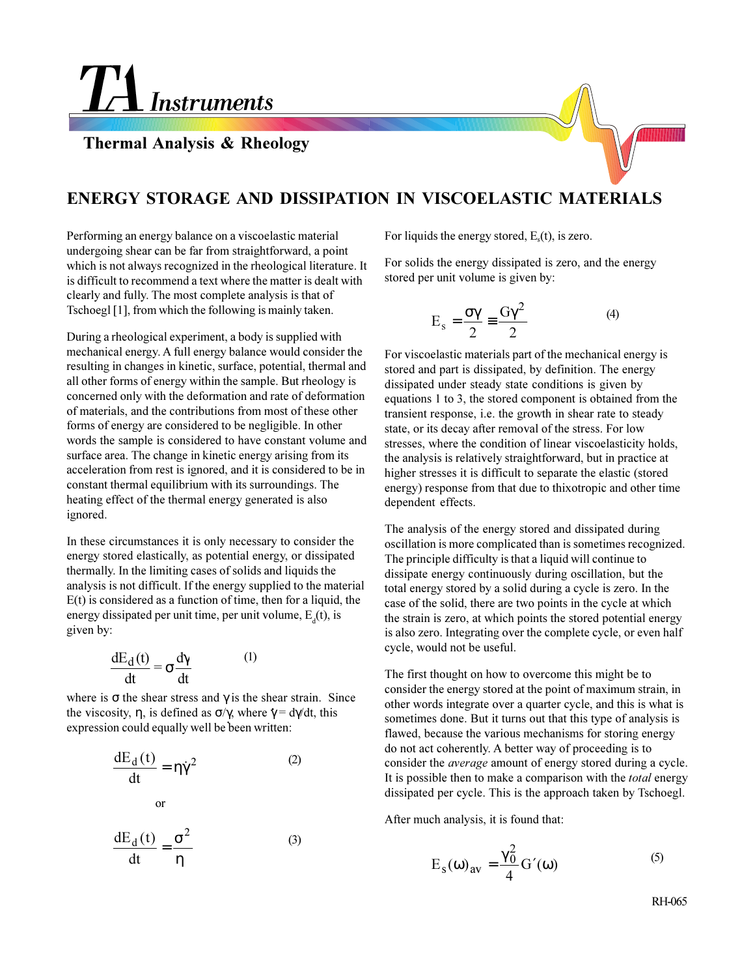**TA** Instruments

**Thermal Analysis & Rheology**

## **ENERGY STORAGE AND DISSIPATION IN VISCOELASTIC MATERIALS**

Performing an energy balance on a viscoelastic material undergoing shear can be far from straightforward, a point which is not always recognized in the rheological literature. It is difficult to recommend a text where the matter is dealt with clearly and fully. The most complete analysis is that of Tschoegl [1], from which the following is mainly taken.

During a rheological experiment, a body is supplied with mechanical energy. A full energy balance would consider the resulting in changes in kinetic, surface, potential, thermal and all other forms of energy within the sample. But rheology is concerned only with the deformation and rate of deformation of materials, and the contributions from most of these other forms of energy are considered to be negligible. In other words the sample is considered to have constant volume and surface area. The change in kinetic energy arising from its acceleration from rest is ignored, and it is considered to be in constant thermal equilibrium with its surroundings. The heating effect of the thermal energy generated is also ignored.

In these circumstances it is only necessary to consider the energy stored elastically, as potential energy, or dissipated thermally. In the limiting cases of solids and liquids the analysis is not difficult. If the energy supplied to the material  $E(t)$  is considered as a function of time, then for a liquid, the energy dissipated per unit time, per unit volume,  $E_d(t)$ , is given by:

$$
\frac{dE_d(t)}{dt} = \sigma \frac{d\gamma}{dt}
$$
 (1)

where is  $\sigma$  the shear stress and  $\gamma$  is the shear strain. Since the viscosity,  $\eta$ , is defined as  $\sigma/\gamma$ , where  $\dot{\gamma} = d\gamma/dt$ , this expression could equally well be been written:

$$
\frac{dE_d(t)}{dt} = \eta \dot{\gamma}^2
$$
 (2)  
or

$$
\frac{dE_d(t)}{dt} = \frac{\sigma^2}{\eta}
$$
 (3)

For liquids the energy stored,  $E<sub>s</sub>(t)$ , is zero.

For solids the energy dissipated is zero, and the energy stored per unit volume is given by:

$$
E_s = \frac{\sigma \gamma}{2} \equiv \frac{G\gamma^2}{2}
$$
 (4)

For viscoelastic materials part of the mechanical energy is stored and part is dissipated, by definition. The energy dissipated under steady state conditions is given by equations 1 to 3, the stored component is obtained from the transient response, i.e. the growth in shear rate to steady state, or its decay after removal of the stress. For low stresses, where the condition of linear viscoelasticity holds, the analysis is relatively straightforward, but in practice at higher stresses it is difficult to separate the elastic (stored energy) response from that due to thixotropic and other time dependent effects.

The analysis of the energy stored and dissipated during oscillation is more complicated than is sometimes recognized. The principle difficulty is that a liquid will continue to dissipate energy continuously during oscillation, but the total energy stored by a solid during a cycle is zero. In the case of the solid, there are two points in the cycle at which the strain is zero, at which points the stored potential energy is also zero. Integrating over the complete cycle, or even half cycle, would not be useful.

The first thought on how to overcome this might be to consider the energy stored at the point of maximum strain, in other words integrate over a quarter cycle, and this is what is sometimes done. But it turns out that this type of analysis is flawed, because the various mechanisms for storing energy do not act coherently. A better way of proceeding is to consider the *average* amount of energy stored during a cycle. It is possible then to make a comparison with the *total* energy dissipated per cycle. This is the approach taken by Tschoegl.

After much analysis, it is found that:

$$
E_s(\omega)_{av} = \frac{\gamma_0^2}{4} G'(\omega)
$$
 (5)

RH-065